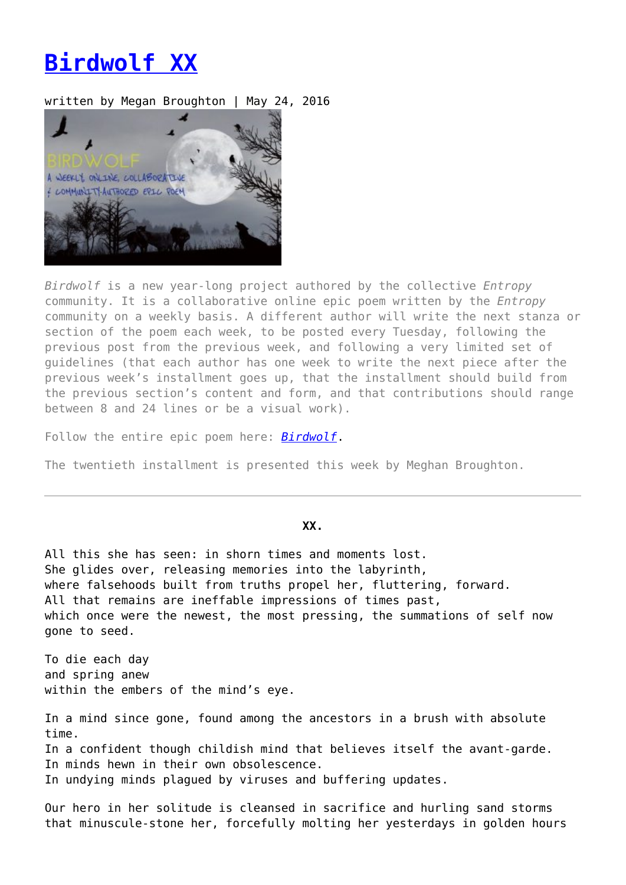## **[Birdwolf XX](https://entropymag.org/birdwolf-xx/)**

## written by Megan Broughton | May 24, 2016



*Birdwolf* is a new year-long project authored by the collective *Entropy* community. It is a collaborative online epic poem written by the *Entropy* community on a weekly basis. A different author will write the next stanza or section of the poem each week, to be posted every Tuesday, following the previous post from the previous week, and following a very limited set of guidelines (that each author has one week to write the next piece after the previous week's installment goes up, that the installment should build from the previous section's content and form, and that contributions should range between 8 and 24 lines or be a visual work).

Follow the entire epic poem here: *[Birdwolf](https://entropymag.org/tag/birdwolf)*.

The twentieth installment is presented this week by Meghan Broughton.

## **XX.**

All this she has seen: in shorn times and moments lost. She glides over, releasing memories into the labyrinth, where falsehoods built from truths propel her, fluttering, forward. All that remains are ineffable impressions of times past, which once were the newest, the most pressing, the summations of self now gone to seed.

To die each day and spring anew within the embers of the mind's eye.

In a mind since gone, found among the ancestors in a brush with absolute time. In a confident though childish mind that believes itself the avant-garde. In minds hewn in their own obsolescence. In undying minds plagued by viruses and buffering updates.

Our hero in her solitude is cleansed in sacrifice and hurling sand storms that minuscule-stone her, forcefully molting her yesterdays in golden hours